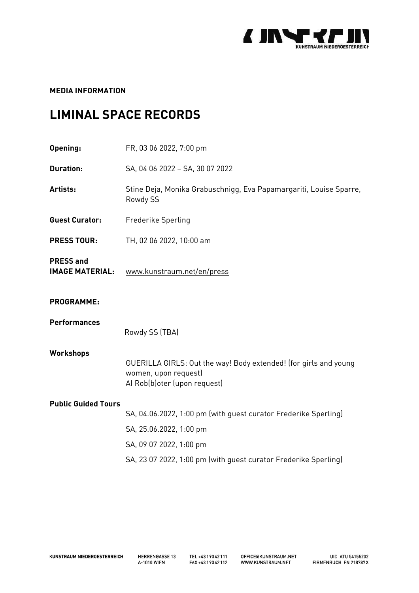

## **MEDIA INFORMATION**

# **LIMINAL SPACE RECORDS**

| Opening:                                   | FR, 03 06 2022, 7:00 pm                                                                                                  |
|--------------------------------------------|--------------------------------------------------------------------------------------------------------------------------|
| <b>Duration:</b>                           | SA, 04 06 2022 - SA, 30 07 2022                                                                                          |
| Artists:                                   | Stine Deja, Monika Grabuschnigg, Eva Papamargariti, Louise Sparre,<br>Rowdy SS                                           |
| <b>Guest Curator:</b>                      | Frederike Sperling                                                                                                       |
| <b>PRESS TOUR:</b>                         | TH, 02 06 2022, 10:00 am                                                                                                 |
| <b>PRESS and</b><br><b>IMAGE MATERIAL:</b> | www.kunstraum.net/en/press                                                                                               |
| <b>PROGRAMME:</b>                          |                                                                                                                          |
| <b>Performances</b>                        | Rowdy SS (TBA)                                                                                                           |
| Workshops                                  | GUERILLA GIRLS: Out the way! Body extended! (for girls and young<br>women, upon request)<br>Al Rob(b)oter (upon request) |
| <b>Public Guided Tours</b>                 | SA, 04.06.2022, 1:00 pm (with guest curator Frederike Sperling)                                                          |
|                                            | SA, 25.06.2022, 1:00 pm                                                                                                  |
|                                            | SA, 09 07 2022, 1:00 pm                                                                                                  |
|                                            | SA, 23 07 2022, 1:00 pm (with guest curator Frederike Sperling)                                                          |

**HERRENGASSE 13** A-1010 WIEN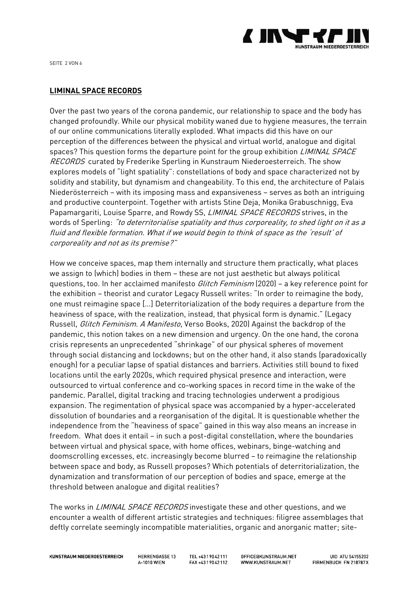

SEITE 2 VON 6

#### **LIMINAL SPACE RECORDS**

Over the past two years of the corona pandemic, our relationship to space and the body has changed profoundly. While our physical mobility waned due to hygiene measures, the terrain of our online communications literally exploded. What impacts did this have on our perception of the differences between the physical and virtual world, analogue and digital spaces? This question forms the departure point for the group exhibition *LIMINAL SPACE* RECORDS curated by Frederike Sperling in Kunstraum Niederoesterreich. The show explores models of "light spatiality": constellations of body and space characterized not by solidity and stability, but dynamism and changeability. To this end, the architecture of Palais Niederösterreich – with its imposing mass and expansiveness – serves as both an intriguing and productive counterpoint. Together with artists Stine Deja, Monika Grabuschnigg, Eva Papamargariti, Louise Sparre, and Rowdy SS, LIMINAL SPACE RECORDS strives, in the words of Sperling: "to deterritorialise spatiality and thus corporeality, to shed light on it as a fluid and flexible formation. What if we would begin to think of space as the 'result' of corporeality and not as its premise?"

How we conceive spaces, map them internally and structure them practically, what places we assign to (which) bodies in them – these are not just aesthetic but always political questions, too. In her acclaimed manifesto *Glitch Feminism* (2020) - a key reference point for the exhibition – theorist and curator Legacy Russell writes: "In order to reimagine the body, one must reimagine space […] Deterritorialization of the body requires a departure from the heaviness of space, with the realization, instead, that physical form is dynamic." (Legacy Russell, Glitch Feminism. A Manifesto, Verso Books, 2020) Against the backdrop of the pandemic, this notion takes on a new dimension and urgency. On the one hand, the corona crisis represents an unprecedented "shrinkage" of our physical spheres of movement through social distancing and lockdowns; but on the other hand, it also stands (paradoxically enough) for a peculiar lapse of spatial distances and barriers. Activities still bound to fixed locations until the early 2020s, which required physical presence and interaction, were outsourced to virtual conference and co-working spaces in record time in the wake of the pandemic. Parallel, digital tracking and tracing technologies underwent a prodigious expansion. The regimentation of physical space was accompanied by a hyper-accelerated dissolution of boundaries and a reorganisation of the digital. It is questionable whether the independence from the "heaviness of space" gained in this way also means an increase in freedom. What does it entail – in such a post-digital constellation, where the boundaries between virtual and physical space, with home offices, webinars, binge-watching and doomscrolling excesses, etc. increasingly become blurred – to reimagine the relationship between space and body, as Russell proposes? Which potentials of deterritorialization, the dynamization and transformation of our perception of bodies and space, emerge at the threshold between analogue and digital realities?

The works in *LIMINAL SPACE RECORDS* investigate these and other questions, and we encounter a wealth of different artistic strategies and techniques: filigree assemblages that deftly correlate seemingly incompatible materialities, organic and anorganic matter; site-

**KUNSTRAUM NIEDEROESTERREICH** 

**HERRENGASSE 13** A-1010 WIEN

TEL +4319042111 FAX +4319042112

OFFICE GKUNSTRAUM.NET WWW.KUNSTRAUM.NET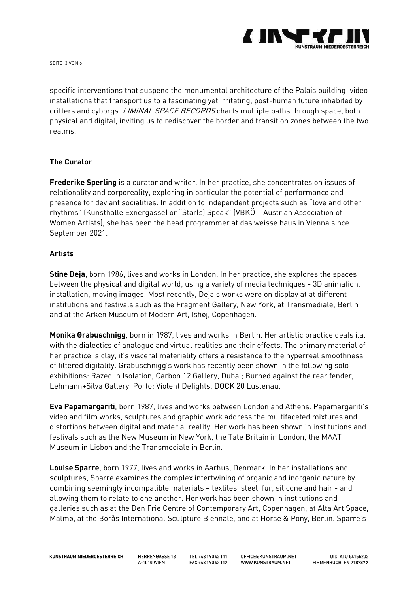

SEITE 3 VON 6

specific interventions that suspend the monumental architecture of the Palais building; video installations that transport us to a fascinating yet irritating, post-human future inhabited by critters and cyborgs. LIMINAL SPACE RECORDS charts multiple paths through space, both physical and digital, inviting us to rediscover the border and transition zones between the two realms.

#### **The Curator**

**Frederike Sperling** is a curator and writer. In her practice, she concentrates on issues of relationality and corporeality, exploring in particular the potential of performance and presence for deviant socialities. In addition to independent projects such as "love and other rhythms" (Kunsthalle Exnergasse) or "Star(s) Speak" (VBKÖ – Austrian Association of Women Artists), she has been the head programmer at das weisse haus in Vienna since September 2021.

### **Artists**

**Stine Deja**, born 1986, lives and works in London. In her practice, she explores the spaces between the physical and digital world, using a variety of media techniques - 3D animation, installation, moving images. Most recently, Deja's works were on display at at different institutions and festivals such as the Fragment Gallery, New York, at Transmediale, Berlin and at the Arken Museum of Modern Art, Ishøj, Copenhagen.

**Monika Grabuschnigg**, born in 1987, lives and works in Berlin. Her artistic practice deals i.a. with the dialectics of analogue and virtual realities and their effects. The primary material of her practice is clay, it's visceral materiality offers a resistance to the hyperreal smoothness of filtered digitality. Grabuschnigg's work has recently been shown in the following solo exhibitions: Razed in Isolation, Carbon 12 Gallery, Dubai; Burned against the rear fender, Lehmann+Silva Gallery, Porto; Violent Delights, DOCK 20 Lustenau.

**Eva Papamargariti**, born 1987, lives and works between London and Athens. Papamargariti's video and film works, sculptures and graphic work address the multifaceted mixtures and distortions between digital and material reality. Her work has been shown in institutions and festivals such as the New Museum in New York, the Tate Britain in London, the MAAT Museum in Lisbon and the Transmediale in Berlin.

**Louise Sparre**, born 1977, lives and works in Aarhus, Denmark. In her installations and sculptures, Sparre examines the complex intertwining of organic and inorganic nature by combining seemingly incompatible materials – textiles, steel, fur, silicone and hair - and allowing them to relate to one another. Her work has been shown in institutions and galleries such as at the Den Frie Centre of Contemporary Art, Copenhagen, at Alta Art Space, Malmø, at the Borås International Sculpture Biennale, and at Horse & Pony, Berlin. Sparre's

**HERRENGASSE 13** A-1010 WIEN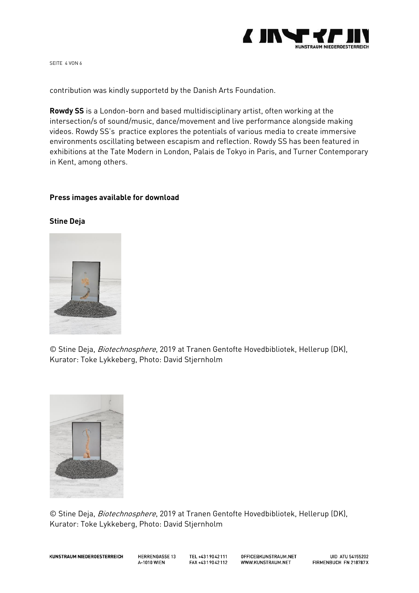

SEITE 4 VON 6

contribution was kindly supportetd by the Danish Arts Foundation.

**Rowdy SS** is a London-born and based multidisciplinary artist, often working at the intersection/s of sound/music, dance/movement and live performance alongside making videos. Rowdy SS's practice explores the potentials of various media to create immersive environments oscillating between escapism and reflection. Rowdy SS has been featured in exhibitions at the Tate Modern in London, Palais de Tokyo in Paris, and Turner Contemporary in Kent, among others.

### **Press images available for download**

#### **Stine Deja**



© Stine Deja, Biotechnosphere, 2019 at Tranen Gentofte Hovedbibliotek, Hellerup (DK), Kurator: Toke Lykkeberg, Photo: David Stjernholm



© Stine Deja, Biotechnosphere, 2019 at Tranen Gentofte Hovedbibliotek, Hellerup (DK), Kurator: Toke Lykkeberg, Photo: David Stjernholm

**KUNSTRAUM NIEDEROESTERREICH** 

**HERRENGASSE 13** A-1010 WIEN

TEL +4319042111 FAX +4319042112

OFFICE GKUNSTRAUM.NET WWW.KUNSTRAUM.NET

UID ATU 54155202 FIRMENBUCH FN 218787X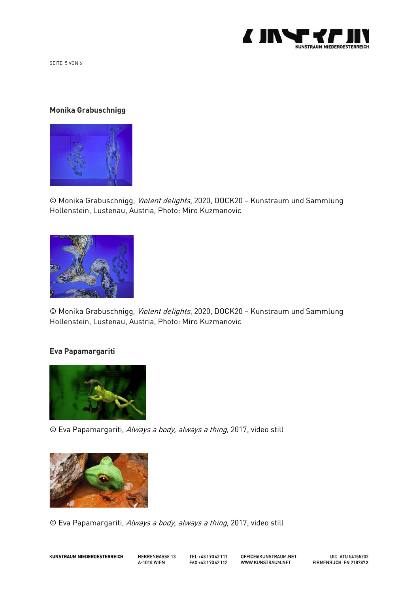

SEITE 5 VON 6

#### **Monika Grabuschnigg**



© Monika Grabuschnigg, Violent delights, 2020, DOCK20 – Kunstraum und Sammlung Hollenstein, Lustenau, Austria, Photo: Miro Kuzmanovic



© Monika Grabuschnigg, Violent delights, 2020, DOCK20 – Kunstraum und Sammlung Hollenstein, Lustenau, Austria, Photo: Miro Kuzmanovic

#### **Eva Papamargariti**



© Eva Papamargariti, Always <sup>a</sup> body, always <sup>a</sup> thing, 2017, video still



© Eva Papamargariti, Always <sup>a</sup> body, always <sup>a</sup> thing, 2017, video still

KUNSTRAUM NIEDEROESTERREICH

HERRENGASSE 13 A-1010 WIEN

TEL +4319042111 FAX +4319042112

OFFICE@KUNSTRAUM.NET WWW.KUNSTRAUM.NET